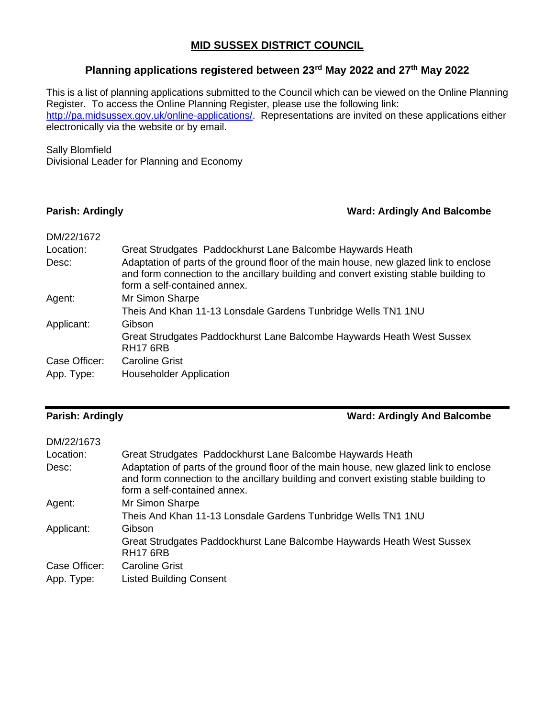### **MID SUSSEX DISTRICT COUNCIL**

# **Planning applications registered between 23rd May 2022 and 27th May 2022**

This is a list of planning applications submitted to the Council which can be viewed on the Online Planning Register. To access the Online Planning Register, please use the following link: [http://pa.midsussex.gov.uk/online-applications/.](http://pa.midsussex.gov.uk/online-applications/) Representations are invited on these applications either electronically via the website or by email.

### Sally Blomfield

Divisional Leader for Planning and Economy

### **Parish: Ardingly Ward: Ardingly And Balcombe**

| DM/22/1672    |                                                                                                                                                                                                                |
|---------------|----------------------------------------------------------------------------------------------------------------------------------------------------------------------------------------------------------------|
| Location:     | Great Strudgates Paddockhurst Lane Balcombe Haywards Heath                                                                                                                                                     |
| Desc:         | Adaptation of parts of the ground floor of the main house, new glazed link to enclose<br>and form connection to the ancillary building and convert existing stable building to<br>form a self-contained annex. |
| Agent:        | Mr Simon Sharpe                                                                                                                                                                                                |
|               | Theis And Khan 11-13 Lonsdale Gardens Tunbridge Wells TN1 1NU                                                                                                                                                  |
| Applicant:    | Gibson                                                                                                                                                                                                         |
|               | Great Strudgates Paddockhurst Lane Balcombe Haywards Heath West Sussex<br><b>RH17 6RB</b>                                                                                                                      |
| Case Officer: | <b>Caroline Grist</b>                                                                                                                                                                                          |
| App. Type:    | <b>Householder Application</b>                                                                                                                                                                                 |

**Parish: Ardingly Ward: Ardingly And Balcombe**

| DM/22/1673    |                                                                                                                                                                                                                |
|---------------|----------------------------------------------------------------------------------------------------------------------------------------------------------------------------------------------------------------|
| Location:     | Great Strudgates Paddockhurst Lane Balcombe Haywards Heath                                                                                                                                                     |
| Desc:         | Adaptation of parts of the ground floor of the main house, new glazed link to enclose<br>and form connection to the ancillary building and convert existing stable building to<br>form a self-contained annex. |
| Agent:        | Mr Simon Sharpe                                                                                                                                                                                                |
|               | Theis And Khan 11-13 Lonsdale Gardens Tunbridge Wells TN1 1NU                                                                                                                                                  |
| Applicant:    | Gibson                                                                                                                                                                                                         |
|               | Great Strudgates Paddockhurst Lane Balcombe Haywards Heath West Sussex<br><b>RH17 6RB</b>                                                                                                                      |
| Case Officer: | <b>Caroline Grist</b>                                                                                                                                                                                          |
| App. Type:    | <b>Listed Building Consent</b>                                                                                                                                                                                 |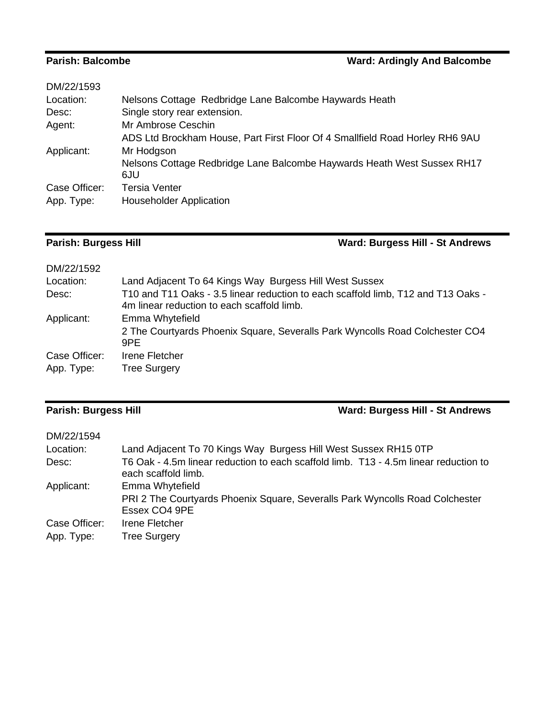| DM/22/1593    |                                                                              |
|---------------|------------------------------------------------------------------------------|
| Location:     | Nelsons Cottage Redbridge Lane Balcombe Haywards Heath                       |
| Desc:         | Single story rear extension.                                                 |
| Agent:        | Mr Ambrose Ceschin                                                           |
|               | ADS Ltd Brockham House, Part First Floor Of 4 Smallfield Road Horley RH6 9AU |
| Applicant:    | Mr Hodgson                                                                   |
|               | Nelsons Cottage Redbridge Lane Balcombe Haywards Heath West Sussex RH17      |
|               | 6JU                                                                          |
| Case Officer: | <b>Tersia Venter</b>                                                         |
| App. Type:    | <b>Householder Application</b>                                               |
|               |                                                                              |

**Parish: Burgess Hill Ward: Burgess Hill - St Andrews**

| DM/22/1592    |                                                                                                                                 |
|---------------|---------------------------------------------------------------------------------------------------------------------------------|
| Location:     | Land Adjacent To 64 Kings Way Burgess Hill West Sussex                                                                          |
| Desc:         | T10 and T11 Oaks - 3.5 linear reduction to each scaffold limb, T12 and T13 Oaks -<br>4m linear reduction to each scaffold limb. |
| Applicant:    | Emma Whytefield                                                                                                                 |
|               | 2 The Courtyards Phoenix Square, Severalls Park Wyncolls Road Colchester CO4<br>9PE.                                            |
| Case Officer: | Irene Fletcher                                                                                                                  |
| App. Type:    | <b>Tree Surgery</b>                                                                                                             |

# **Parish: Burgess Hill Ward: Burgess Hill - St Andrews**

| DM/22/1594    |                                                                                                             |
|---------------|-------------------------------------------------------------------------------------------------------------|
| Location:     | Land Adjacent To 70 Kings Way Burgess Hill West Sussex RH15 0TP                                             |
| Desc:         | T6 Oak - 4.5m linear reduction to each scaffold limb. T13 - 4.5m linear reduction to<br>each scaffold limb. |
| Applicant:    | Emma Whytefield                                                                                             |
|               | PRI 2 The Courtyards Phoenix Square, Severalls Park Wyncolls Road Colchester<br>Essex CO4 9PE               |
| Case Officer: | Irene Fletcher                                                                                              |
| App. Type:    | <b>Tree Surgery</b>                                                                                         |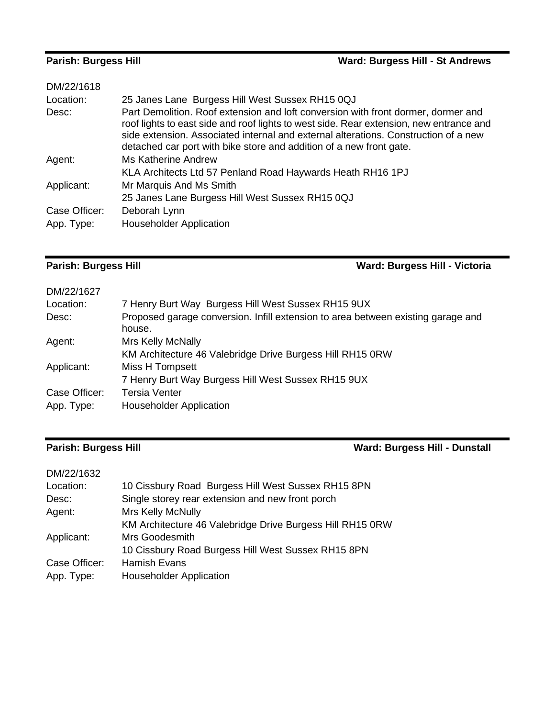| DM/22/1618    |                                                                                                                                                                                                                                                                                                                                            |
|---------------|--------------------------------------------------------------------------------------------------------------------------------------------------------------------------------------------------------------------------------------------------------------------------------------------------------------------------------------------|
| Location:     | 25 Janes Lane Burgess Hill West Sussex RH15 0QJ                                                                                                                                                                                                                                                                                            |
| Desc:         | Part Demolition. Roof extension and loft conversion with front dormer, dormer and<br>roof lights to east side and roof lights to west side. Rear extension, new entrance and<br>side extension. Associated internal and external alterations. Construction of a new<br>detached car port with bike store and addition of a new front gate. |
| Agent:        | <b>Ms Katherine Andrew</b>                                                                                                                                                                                                                                                                                                                 |
|               | KLA Architects Ltd 57 Penland Road Haywards Heath RH16 1PJ                                                                                                                                                                                                                                                                                 |
| Applicant:    | Mr Marquis And Ms Smith                                                                                                                                                                                                                                                                                                                    |
|               | 25 Janes Lane Burgess Hill West Sussex RH15 0QJ                                                                                                                                                                                                                                                                                            |
| Case Officer: | Deborah Lynn                                                                                                                                                                                                                                                                                                                               |
| App. Type:    | <b>Householder Application</b>                                                                                                                                                                                                                                                                                                             |

# **Parish: Burgess Hill Ward: Burgess Hill - Victoria**

| 7 Henry Burt Way Burgess Hill West Sussex RH15 9UX                                         |
|--------------------------------------------------------------------------------------------|
| Proposed garage conversion. Infill extension to area between existing garage and<br>house. |
| <b>Mrs Kelly McNally</b>                                                                   |
| KM Architecture 46 Valebridge Drive Burgess Hill RH15 0RW                                  |
| Miss H Tompsett                                                                            |
| 7 Henry Burt Way Burgess Hill West Sussex RH15 9UX                                         |
| Tersia Venter                                                                              |
| <b>Householder Application</b>                                                             |
|                                                                                            |

# **Parish: Burgess Hill Ward: Burgess Hill - Dunstall**

| 10 Cissbury Road Burgess Hill West Sussex RH15 8PN        |
|-----------------------------------------------------------|
| Single storey rear extension and new front porch          |
| Mrs Kelly McNully                                         |
| KM Architecture 46 Valebridge Drive Burgess Hill RH15 0RW |
| Mrs Goodesmith                                            |
| 10 Cissbury Road Burgess Hill West Sussex RH15 8PN        |
| <b>Hamish Evans</b>                                       |
| <b>Householder Application</b>                            |
|                                                           |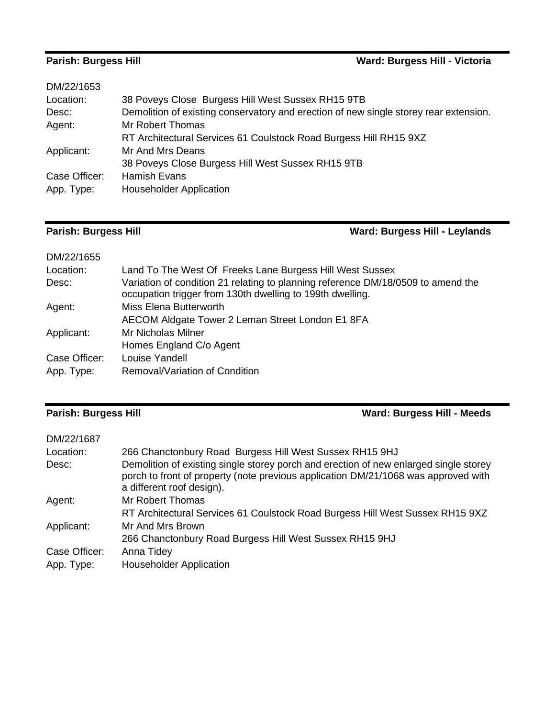# **Parish: Burgess Hill Ward: Burgess Hill - Victoria**

| DM/22/1653    |                                                                                       |
|---------------|---------------------------------------------------------------------------------------|
| Location:     | 38 Poveys Close Burgess Hill West Sussex RH15 9TB                                     |
| Desc:         | Demolition of existing conservatory and erection of new single storey rear extension. |
| Agent:        | Mr Robert Thomas                                                                      |
|               | RT Architectural Services 61 Coulstock Road Burgess Hill RH15 9XZ                     |
| Applicant:    | Mr And Mrs Deans                                                                      |
|               | 38 Poveys Close Burgess Hill West Sussex RH15 9TB                                     |
| Case Officer: | <b>Hamish Evans</b>                                                                   |
| App. Type:    | <b>Householder Application</b>                                                        |

# **Parish: Burgess Hill Ward: Burgess Hill - Leylands**

| DM/22/1655    |                                                                                                                                               |
|---------------|-----------------------------------------------------------------------------------------------------------------------------------------------|
| Location:     | Land To The West Of Freeks Lane Burgess Hill West Sussex                                                                                      |
| Desc:         | Variation of condition 21 relating to planning reference DM/18/0509 to amend the<br>occupation trigger from 130th dwelling to 199th dwelling. |
| Agent:        | Miss Elena Butterworth                                                                                                                        |
|               | AECOM Aldgate Tower 2 Leman Street London E1 8FA                                                                                              |
| Applicant:    | Mr Nicholas Milner                                                                                                                            |
|               | Homes England C/o Agent                                                                                                                       |
| Case Officer: | Louise Yandell                                                                                                                                |
| App. Type:    | Removal/Variation of Condition                                                                                                                |

### **Parish: Burgess Hill Ward: Burgess Hill - Meeds**

| DM/22/1687    |                                                                                                                                                                                                          |
|---------------|----------------------------------------------------------------------------------------------------------------------------------------------------------------------------------------------------------|
| Location:     | 266 Chanctonbury Road Burgess Hill West Sussex RH15 9HJ                                                                                                                                                  |
| Desc:         | Demolition of existing single storey porch and erection of new enlarged single storey<br>porch to front of property (note previous application DM/21/1068 was approved with<br>a different roof design). |
| Agent:        | Mr Robert Thomas                                                                                                                                                                                         |
|               | RT Architectural Services 61 Coulstock Road Burgess Hill West Sussex RH15 9XZ                                                                                                                            |
| Applicant:    | Mr And Mrs Brown                                                                                                                                                                                         |
|               | 266 Chanctonbury Road Burgess Hill West Sussex RH15 9HJ                                                                                                                                                  |
| Case Officer: | Anna Tidey                                                                                                                                                                                               |
| App. Type:    | <b>Householder Application</b>                                                                                                                                                                           |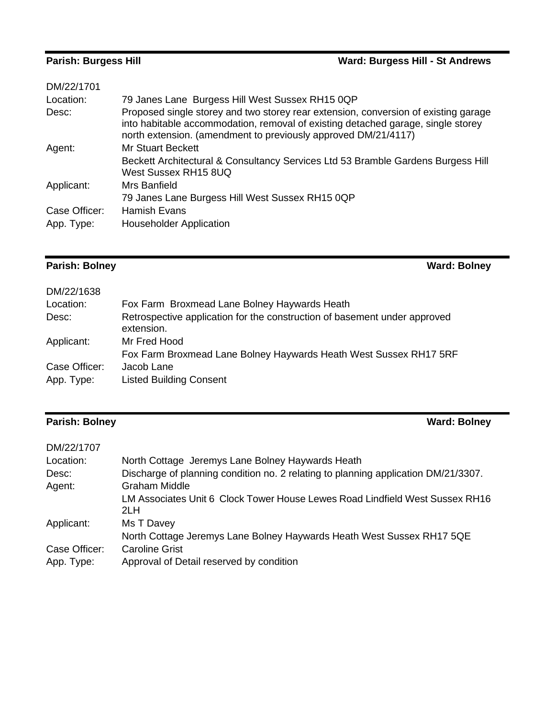| DM/22/1701    |                                                                                                                                                                                                                                           |
|---------------|-------------------------------------------------------------------------------------------------------------------------------------------------------------------------------------------------------------------------------------------|
| Location:     | 79 Janes Lane Burgess Hill West Sussex RH15 0QP                                                                                                                                                                                           |
| Desc:         | Proposed single storey and two storey rear extension, conversion of existing garage<br>into habitable accommodation, removal of existing detached garage, single storey<br>north extension. (amendment to previously approved DM/21/4117) |
| Agent:        | Mr Stuart Beckett                                                                                                                                                                                                                         |
|               | Beckett Architectural & Consultancy Services Ltd 53 Bramble Gardens Burgess Hill<br>West Sussex RH15 8UQ                                                                                                                                  |
| Applicant:    | Mrs Banfield                                                                                                                                                                                                                              |
|               | 79 Janes Lane Burgess Hill West Sussex RH15 0QP                                                                                                                                                                                           |
| Case Officer: | Hamish Evans                                                                                                                                                                                                                              |
| App. Type:    | <b>Householder Application</b>                                                                                                                                                                                                            |

# **Parish: Bolney Ward: Bolney**

| DM/22/1638                  |                                                                                         |
|-----------------------------|-----------------------------------------------------------------------------------------|
| Location:                   | Fox Farm Broxmead Lane Bolney Haywards Heath                                            |
| Desc:                       | Retrospective application for the construction of basement under approved<br>extension. |
| Applicant:                  | Mr Fred Hood<br>Fox Farm Broxmead Lane Bolney Haywards Heath West Sussex RH17 5RF       |
| Case Officer:<br>App. Type: | Jacob Lane<br><b>Listed Building Consent</b>                                            |

## **Parish: Bolney Ward: Bolney**

| DM/22/1707    |                                                                                     |
|---------------|-------------------------------------------------------------------------------------|
| Location:     | North Cottage Jeremys Lane Bolney Haywards Heath                                    |
| Desc:         | Discharge of planning condition no. 2 relating to planning application DM/21/3307.  |
| Agent:        | Graham Middle                                                                       |
|               | LM Associates Unit 6 Clock Tower House Lewes Road Lindfield West Sussex RH16<br>2LH |
| Applicant:    | Ms T Davey                                                                          |
|               | North Cottage Jeremys Lane Bolney Haywards Heath West Sussex RH17 5QE               |
| Case Officer: | <b>Caroline Grist</b>                                                               |
| App. Type:    | Approval of Detail reserved by condition                                            |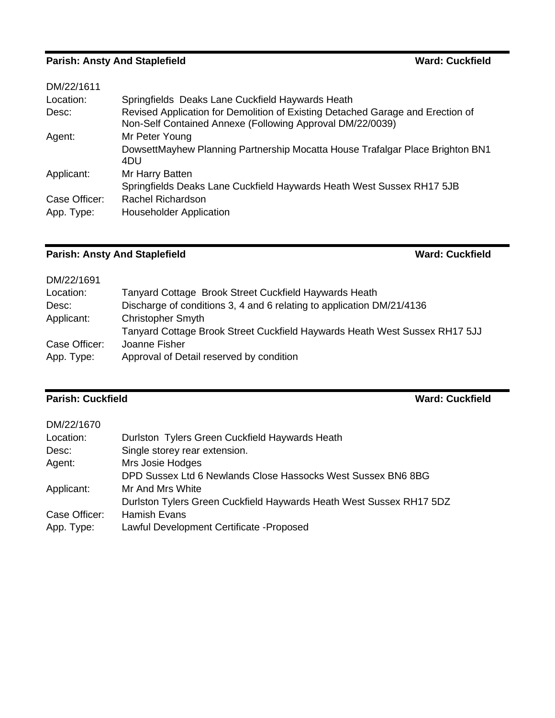# **Parish: Ansty And Staplefield Ward: Cuckfield Ward: Cuckfield**

| DM/22/1611    |                                                                                                                                             |
|---------------|---------------------------------------------------------------------------------------------------------------------------------------------|
| Location:     | Springfields Deaks Lane Cuckfield Haywards Heath                                                                                            |
| Desc:         | Revised Application for Demolition of Existing Detached Garage and Erection of<br>Non-Self Contained Annexe (Following Approval DM/22/0039) |
| Agent:        | Mr Peter Young                                                                                                                              |
|               | DowsettMayhew Planning Partnership Mocatta House Trafalgar Place Brighton BN1<br>4DU                                                        |
| Applicant:    | Mr Harry Batten                                                                                                                             |
|               | Springfields Deaks Lane Cuckfield Haywards Heath West Sussex RH17 5JB                                                                       |
| Case Officer: | Rachel Richardson                                                                                                                           |
| App. Type:    | <b>Householder Application</b>                                                                                                              |

### **Parish: Ansty And Staplefield Ward: Cuckfield**

| DM/22/1691    |                                                                            |
|---------------|----------------------------------------------------------------------------|
| Location:     | Tanyard Cottage Brook Street Cuckfield Haywards Heath                      |
| Desc:         | Discharge of conditions 3, 4 and 6 relating to application DM/21/4136      |
| Applicant:    | <b>Christopher Smyth</b>                                                   |
|               | Tanyard Cottage Brook Street Cuckfield Haywards Heath West Sussex RH17 5JJ |
| Case Officer: | Joanne Fisher                                                              |
| App. Type:    | Approval of Detail reserved by condition                                   |
|               |                                                                            |

### **Parish: Cuckfield Ward: Cuckfield**

| DM/22/1670    |                                                                     |
|---------------|---------------------------------------------------------------------|
| Location:     | Durlston Tylers Green Cuckfield Haywards Heath                      |
| Desc:         | Single storey rear extension.                                       |
| Agent:        | Mrs Josie Hodges                                                    |
|               | DPD Sussex Ltd 6 Newlands Close Hassocks West Sussex BN6 8BG        |
| Applicant:    | Mr And Mrs White                                                    |
|               | Durlston Tylers Green Cuckfield Haywards Heath West Sussex RH17 5DZ |
| Case Officer: | <b>Hamish Evans</b>                                                 |
| App. Type:    | Lawful Development Certificate - Proposed                           |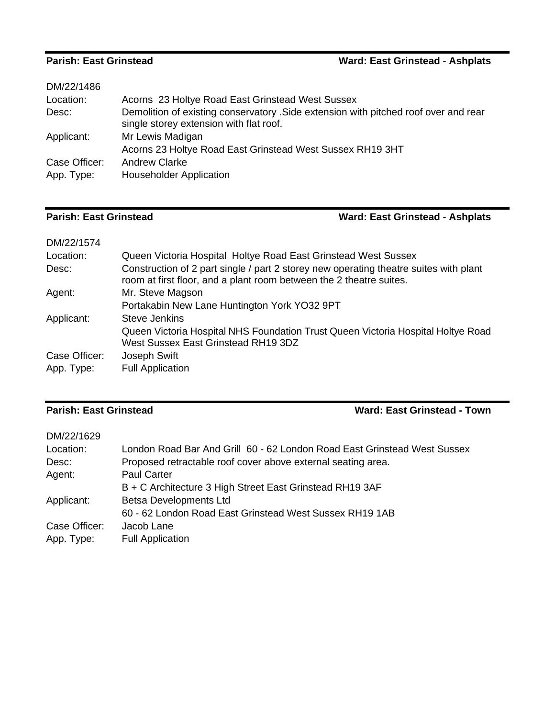### **Parish: East Grinstead Ward: East Grinstead - Ashplats**

| DM/22/1486    |                                                                                                                                 |
|---------------|---------------------------------------------------------------------------------------------------------------------------------|
| Location:     | Acorns 23 Holtye Road East Grinstead West Sussex                                                                                |
| Desc:         | Demolition of existing conservatory . Side extension with pitched roof over and rear<br>single storey extension with flat roof. |
| Applicant:    | Mr Lewis Madigan                                                                                                                |
|               | Acorns 23 Holtye Road East Grinstead West Sussex RH19 3HT                                                                       |
| Case Officer: | <b>Andrew Clarke</b>                                                                                                            |
| App. Type:    | <b>Householder Application</b>                                                                                                  |

### **Parish: East Grinstead Ward: East Grinstead - Ashplats**

| DM/22/1574    |                                                                                                                                                              |
|---------------|--------------------------------------------------------------------------------------------------------------------------------------------------------------|
| Location:     | Queen Victoria Hospital Holtye Road East Grinstead West Sussex                                                                                               |
| Desc:         | Construction of 2 part single / part 2 storey new operating theatre suites with plant<br>room at first floor, and a plant room between the 2 theatre suites. |
| Agent:        | Mr. Steve Magson                                                                                                                                             |
|               | Portakabin New Lane Huntington York YO32 9PT                                                                                                                 |
| Applicant:    | <b>Steve Jenkins</b>                                                                                                                                         |
|               | Queen Victoria Hospital NHS Foundation Trust Queen Victoria Hospital Holtye Road<br>West Sussex East Grinstead RH19 3DZ                                      |
| Case Officer: | Joseph Swift                                                                                                                                                 |
| App. Type:    | <b>Full Application</b>                                                                                                                                      |

### **Parish: East Grinstead Ward: East Grinstead - Town**

| DM/22/1629    |                                                                          |
|---------------|--------------------------------------------------------------------------|
| Location:     | London Road Bar And Grill 60 - 62 London Road East Grinstead West Sussex |
| Desc:         | Proposed retractable roof cover above external seating area.             |
| Agent:        | <b>Paul Carter</b>                                                       |
|               | B + C Architecture 3 High Street East Grinstead RH19 3AF                 |
| Applicant:    | <b>Betsa Developments Ltd</b>                                            |
|               | 60 - 62 London Road East Grinstead West Sussex RH19 1AB                  |
| Case Officer: | Jacob Lane                                                               |
| App. Type:    | <b>Full Application</b>                                                  |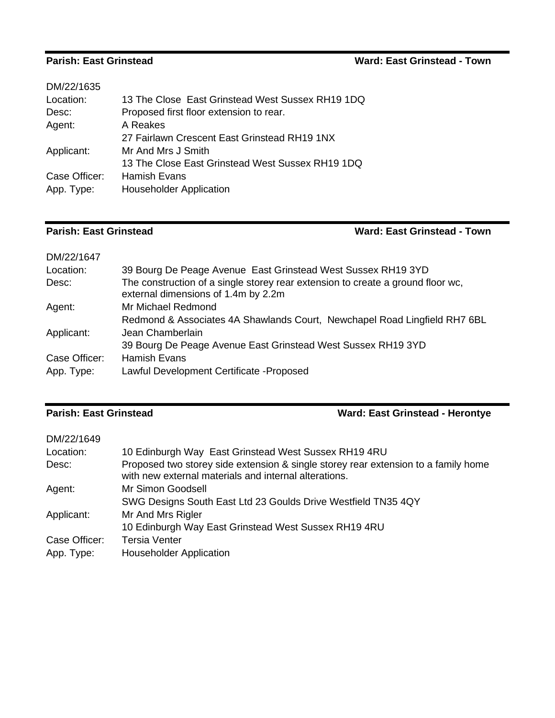### **Parish: East Grinstead**

| Ward: East Grinstead - Town |
|-----------------------------|
|-----------------------------|

| DM/22/1635    |                                                  |
|---------------|--------------------------------------------------|
| Location:     | 13 The Close East Grinstead West Sussex RH19 1DQ |
| Desc:         | Proposed first floor extension to rear.          |
| Agent:        | A Reakes                                         |
|               | 27 Fairlawn Crescent East Grinstead RH19 1NX     |
| Applicant:    | Mr And Mrs J Smith                               |
|               | 13 The Close East Grinstead West Sussex RH19 1DQ |
| Case Officer: | <b>Hamish Evans</b>                              |
| App. Type:    | <b>Householder Application</b>                   |
|               |                                                  |

### **Parish: East Grinstead Ward: East Grinstead - Town**

| DM/22/1647    |                                                                                                                        |
|---------------|------------------------------------------------------------------------------------------------------------------------|
| Location:     | 39 Bourg De Peage Avenue East Grinstead West Sussex RH19 3YD                                                           |
| Desc:         | The construction of a single storey rear extension to create a ground floor wc,<br>external dimensions of 1.4m by 2.2m |
| Agent:        | Mr Michael Redmond                                                                                                     |
|               | Redmond & Associates 4A Shawlands Court, Newchapel Road Lingfield RH7 6BL                                              |
| Applicant:    | Jean Chamberlain                                                                                                       |
|               | 39 Bourg De Peage Avenue East Grinstead West Sussex RH19 3YD                                                           |
| Case Officer: | Hamish Evans                                                                                                           |
| App. Type:    | Lawful Development Certificate - Proposed                                                                              |

### **Parish: East Grinstead Ward: East Grinstead - Herontye**

| DM/22/1649    |                                                                                                                                             |
|---------------|---------------------------------------------------------------------------------------------------------------------------------------------|
| Location:     | 10 Edinburgh Way East Grinstead West Sussex RH19 4RU                                                                                        |
| Desc:         | Proposed two storey side extension & single storey rear extension to a family home<br>with new external materials and internal alterations. |
| Agent:        | Mr Simon Goodsell                                                                                                                           |
|               | SWG Designs South East Ltd 23 Goulds Drive Westfield TN35 4QY                                                                               |
| Applicant:    | Mr And Mrs Rigler                                                                                                                           |
|               | 10 Edinburgh Way East Grinstead West Sussex RH19 4RU                                                                                        |
| Case Officer: | <b>Tersia Venter</b>                                                                                                                        |
| App. Type:    | <b>Householder Application</b>                                                                                                              |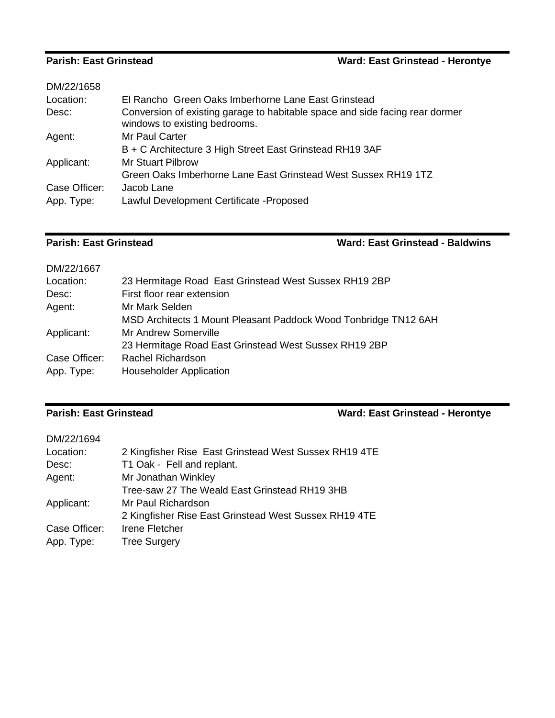### **Parish: East Grinstead Ward: East Grinstead - Herontye**

| DM/22/1658    |                                                                                                               |
|---------------|---------------------------------------------------------------------------------------------------------------|
| Location:     | El Rancho Green Oaks Imberhorne Lane East Grinstead                                                           |
| Desc:         | Conversion of existing garage to habitable space and side facing rear dormer<br>windows to existing bedrooms. |
| Agent:        | Mr Paul Carter                                                                                                |
|               | B + C Architecture 3 High Street East Grinstead RH19 3AF                                                      |
| Applicant:    | <b>Mr Stuart Pilbrow</b>                                                                                      |
|               | Green Oaks Imberhorne Lane East Grinstead West Sussex RH19 1TZ                                                |
| Case Officer: | Jacob Lane                                                                                                    |
| App. Type:    | Lawful Development Certificate - Proposed                                                                     |

**Parish: East Grinstead Ward: East Grinstead - Baldwins**

| DM/22/1667    |                                                                 |
|---------------|-----------------------------------------------------------------|
| Location:     | 23 Hermitage Road East Grinstead West Sussex RH19 2BP           |
| Desc:         | First floor rear extension                                      |
| Agent:        | Mr Mark Selden                                                  |
|               | MSD Architects 1 Mount Pleasant Paddock Wood Tonbridge TN12 6AH |
| Applicant:    | Mr Andrew Somerville                                            |
|               | 23 Hermitage Road East Grinstead West Sussex RH19 2BP           |
| Case Officer: | Rachel Richardson                                               |
| App. Type:    | <b>Householder Application</b>                                  |

### **Parish: East Grinstead Ward: East Grinstead - Herontye**

| DM/22/1694    |                                                       |
|---------------|-------------------------------------------------------|
| Location:     | 2 Kingfisher Rise East Grinstead West Sussex RH19 4TE |
| Desc:         | T1 Oak - Fell and replant.                            |
| Agent:        | Mr Jonathan Winkley                                   |
|               | Tree-saw 27 The Weald East Grinstead RH19 3HB         |
| Applicant:    | Mr Paul Richardson                                    |
|               | 2 Kingfisher Rise East Grinstead West Sussex RH19 4TE |
| Case Officer: | Irene Fletcher                                        |
| App. Type:    | <b>Tree Surgery</b>                                   |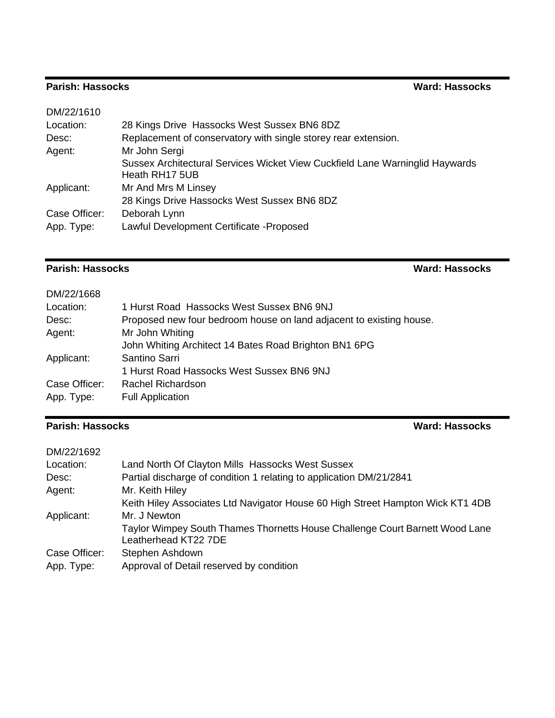## **Parish: Hassocks Ward: Hassocks**

| DM/22/1610    |                                                                                                |
|---------------|------------------------------------------------------------------------------------------------|
| Location:     | 28 Kings Drive Hassocks West Sussex BN6 8DZ                                                    |
| Desc:         | Replacement of conservatory with single storey rear extension.                                 |
| Agent:        | Mr John Sergi                                                                                  |
|               | Sussex Architectural Services Wicket View Cuckfield Lane Warninglid Haywards<br>Heath RH17 5UB |
| Applicant:    | Mr And Mrs M Linsey                                                                            |
|               | 28 Kings Drive Hassocks West Sussex BN6 8DZ                                                    |
| Case Officer: | Deborah Lynn                                                                                   |
| App. Type:    | Lawful Development Certificate - Proposed                                                      |

## **Parish: Hassocks Ward: Hassocks**

| DM/22/1668 |  |
|------------|--|
|------------|--|

| Location:     | 1 Hurst Road Hassocks West Sussex BN6 9NJ                           |
|---------------|---------------------------------------------------------------------|
| Desc:         | Proposed new four bedroom house on land adjacent to existing house. |
| Agent:        | Mr John Whiting                                                     |
|               | John Whiting Architect 14 Bates Road Brighton BN1 6PG               |
| Applicant:    | Santino Sarri                                                       |
|               | 1 Hurst Road Hassocks West Sussex BN6 9NJ                           |
| Case Officer: | Rachel Richardson                                                   |
| App. Type:    | <b>Full Application</b>                                             |

## **Parish: Hassocks Ward: Hassocks**

| DM/22/1692    |                                                                                |
|---------------|--------------------------------------------------------------------------------|
| Location:     | Land North Of Clayton Mills Hassocks West Sussex                               |
| Desc:         | Partial discharge of condition 1 relating to application DM/21/2841            |
| Agent:        | Mr. Keith Hiley                                                                |
|               | Keith Hiley Associates Ltd Navigator House 60 High Street Hampton Wick KT1 4DB |
| Applicant:    | Mr. J Newton                                                                   |
|               | Taylor Wimpey South Thames Thornetts House Challenge Court Barnett Wood Lane   |
|               | Leatherhead KT22 7DE                                                           |
| Case Officer: | Stephen Ashdown                                                                |
| App. Type:    | Approval of Detail reserved by condition                                       |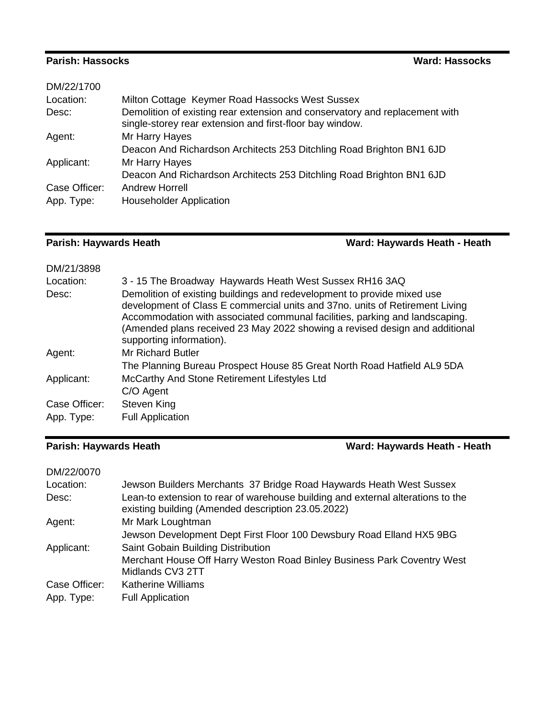### **Parish: Hassocks Ward: Hassocks**

| DM/22/1700    |                                                                                                                                         |
|---------------|-----------------------------------------------------------------------------------------------------------------------------------------|
| Location:     | Milton Cottage Keymer Road Hassocks West Sussex                                                                                         |
| Desc:         | Demolition of existing rear extension and conservatory and replacement with<br>single-storey rear extension and first-floor bay window. |
| Agent:        | Mr Harry Hayes                                                                                                                          |
|               | Deacon And Richardson Architects 253 Ditchling Road Brighton BN1 6JD                                                                    |
| Applicant:    | Mr Harry Hayes                                                                                                                          |
|               | Deacon And Richardson Architects 253 Ditchling Road Brighton BN1 6JD                                                                    |
| Case Officer: | <b>Andrew Horrell</b>                                                                                                                   |
| App. Type:    | <b>Householder Application</b>                                                                                                          |

# **Parish: Haywards Heath Ward: Haywards Heath - Heath**

| DM/21/3898    |                                                                                                                                                                                                                                                                                                                                                   |
|---------------|---------------------------------------------------------------------------------------------------------------------------------------------------------------------------------------------------------------------------------------------------------------------------------------------------------------------------------------------------|
| Location:     | 3 - 15 The Broadway Haywards Heath West Sussex RH16 3AQ                                                                                                                                                                                                                                                                                           |
| Desc:         | Demolition of existing buildings and redevelopment to provide mixed use<br>development of Class E commercial units and 37no. units of Retirement Living<br>Accommodation with associated communal facilities, parking and landscaping.<br>(Amended plans received 23 May 2022 showing a revised design and additional<br>supporting information). |
| Agent:        | <b>Mr Richard Butler</b>                                                                                                                                                                                                                                                                                                                          |
|               | The Planning Bureau Prospect House 85 Great North Road Hatfield AL9 5DA                                                                                                                                                                                                                                                                           |
| Applicant:    | McCarthy And Stone Retirement Lifestyles Ltd                                                                                                                                                                                                                                                                                                      |
|               | C/O Agent                                                                                                                                                                                                                                                                                                                                         |
| Case Officer: | <b>Steven King</b>                                                                                                                                                                                                                                                                                                                                |
| App. Type:    | <b>Full Application</b>                                                                                                                                                                                                                                                                                                                           |

# **Parish: Haywards Heath Ward: Haywards Heath - Heath**

| DM/22/0070    |                                                                                                                                       |
|---------------|---------------------------------------------------------------------------------------------------------------------------------------|
| Location:     | Jewson Builders Merchants 37 Bridge Road Haywards Heath West Sussex                                                                   |
| Desc:         | Lean-to extension to rear of warehouse building and external alterations to the<br>existing building (Amended description 23.05.2022) |
| Agent:        | Mr Mark Loughtman                                                                                                                     |
|               | Jewson Development Dept First Floor 100 Dewsbury Road Elland HX5 9BG                                                                  |
| Applicant:    | Saint Gobain Building Distribution                                                                                                    |
|               | Merchant House Off Harry Weston Road Binley Business Park Coventry West<br>Midlands CV3 2TT                                           |
| Case Officer: | <b>Katherine Williams</b>                                                                                                             |
| App. Type:    | <b>Full Application</b>                                                                                                               |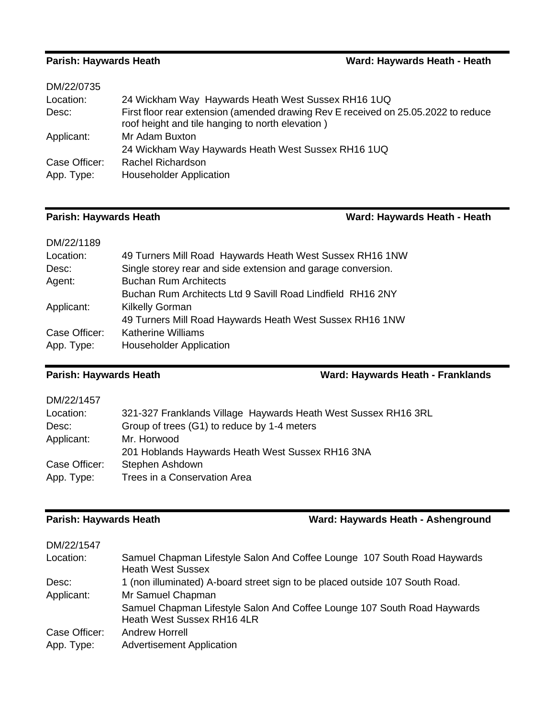### **Parish: Haywards Heath Ward: Haywards Heath - Heath**

| 24 Wickham Way Haywards Heath West Sussex RH16 1UQ                                                                                     |
|----------------------------------------------------------------------------------------------------------------------------------------|
| First floor rear extension (amended drawing Rev E received on 25.05.2022 to reduce<br>roof height and tile hanging to north elevation) |
| Mr Adam Buxton                                                                                                                         |
| 24 Wickham Way Haywards Heath West Sussex RH16 1UQ                                                                                     |
| Rachel Richardson                                                                                                                      |
| <b>Householder Application</b>                                                                                                         |
|                                                                                                                                        |

## **Parish: Haywards Heath Ward: Haywards Heath - Heath**

| DM/22/1189    |                                                              |
|---------------|--------------------------------------------------------------|
| Location:     | 49 Turners Mill Road Haywards Heath West Sussex RH16 1NW     |
| Desc:         | Single storey rear and side extension and garage conversion. |
| Agent:        | <b>Buchan Rum Architects</b>                                 |
|               | Buchan Rum Architects Ltd 9 Savill Road Lindfield RH16 2NY   |
| Applicant:    | <b>Kilkelly Gorman</b>                                       |
|               | 49 Turners Mill Road Haywards Heath West Sussex RH16 1NW     |
| Case Officer: | <b>Katherine Williams</b>                                    |
| App. Type:    | <b>Householder Application</b>                               |

### **Parish: Haywards Heath Ward: Haywards Heath - Franklands**

| 321-327 Franklands Village Haywards Heath West Sussex RH16 3RL |
|----------------------------------------------------------------|
|                                                                |
|                                                                |
|                                                                |
|                                                                |
|                                                                |
|                                                                |

## **Parish: Haywards Heath Ward: Haywards Heath - Ashenground**

| DM/22/1547    |                                                                                                      |
|---------------|------------------------------------------------------------------------------------------------------|
| Location:     | Samuel Chapman Lifestyle Salon And Coffee Lounge 107 South Road Haywards<br><b>Heath West Sussex</b> |
| Desc:         | 1 (non illuminated) A-board street sign to be placed outside 107 South Road.                         |
| Applicant:    | Mr Samuel Chapman                                                                                    |
|               | Samuel Chapman Lifestyle Salon And Coffee Lounge 107 South Road Haywards                             |
|               | Heath West Sussex RH16 4LR                                                                           |
| Case Officer: | Andrew Horrell                                                                                       |
| App. Type:    | <b>Advertisement Application</b>                                                                     |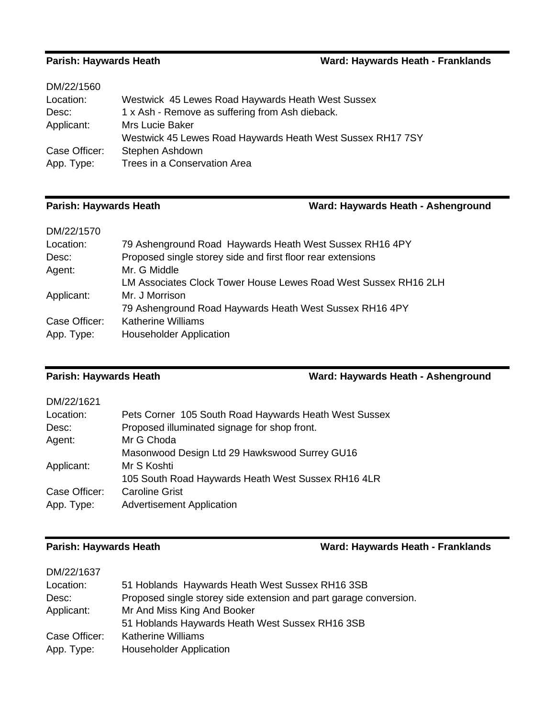### **Parish: Haywards Heath Ward: Haywards Heath - Franklands**

| Westwick 45 Lewes Road Haywards Heath West Sussex RH17 7SY |
|------------------------------------------------------------|
|                                                            |
|                                                            |
|                                                            |

## **Parish: Haywards Heath Ward: Haywards Heath - Ashenground**

| DM/22/1570    |                                                                 |
|---------------|-----------------------------------------------------------------|
| Location:     | 79 Ashenground Road Haywards Heath West Sussex RH16 4PY         |
| Desc:         | Proposed single storey side and first floor rear extensions     |
| Agent:        | Mr. G Middle                                                    |
|               | LM Associates Clock Tower House Lewes Road West Sussex RH16 2LH |
| Applicant:    | Mr. J Morrison                                                  |
|               | 79 Ashenground Road Haywards Heath West Sussex RH16 4PY         |
| Case Officer: | <b>Katherine Williams</b>                                       |
| App. Type:    | <b>Householder Application</b>                                  |

### **Parish: Haywards Heath Ward: Haywards Heath - Ashenground**

| DM/22/1621    |                                                       |
|---------------|-------------------------------------------------------|
| Location:     | Pets Corner 105 South Road Haywards Heath West Sussex |
| Desc:         | Proposed illuminated signage for shop front.          |
| Agent:        | Mr G Choda                                            |
|               | Masonwood Design Ltd 29 Hawkswood Surrey GU16         |
| Applicant:    | Mr S Koshti                                           |
|               | 105 South Road Haywards Heath West Sussex RH16 4LR    |
| Case Officer: | Caroline Grist                                        |
| App. Type:    | <b>Advertisement Application</b>                      |

### **Parish: Haywards Heath Ward: Haywards Heath - Franklands**

| DM/22/1637    |                                                                   |
|---------------|-------------------------------------------------------------------|
| Location:     | 51 Hoblands Haywards Heath West Sussex RH16 3SB                   |
| Desc:         | Proposed single storey side extension and part garage conversion. |
| Applicant:    | Mr And Miss King And Booker                                       |
|               | 51 Hoblands Haywards Heath West Sussex RH16 3SB                   |
| Case Officer: | <b>Katherine Williams</b>                                         |
| App. Type:    | <b>Householder Application</b>                                    |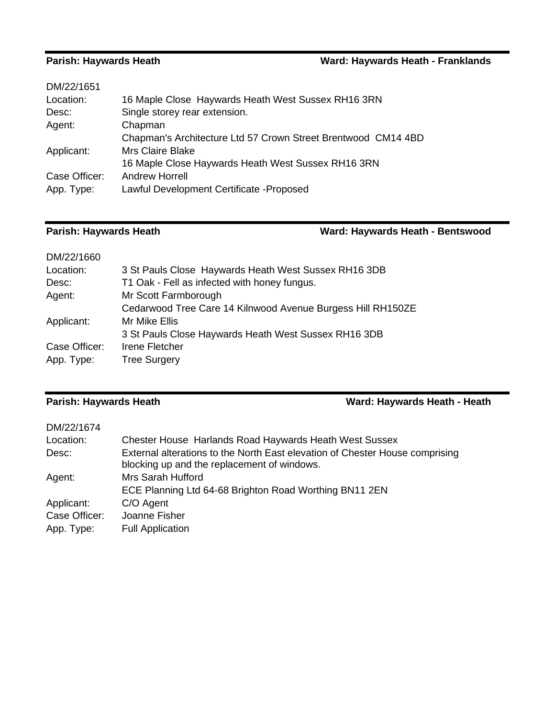### **Parish: Haywards Heath Ward: Haywards Heath - Franklands**

| DM/22/1651    |                                                               |
|---------------|---------------------------------------------------------------|
| Location:     | 16 Maple Close Haywards Heath West Sussex RH16 3RN            |
| Desc:         | Single storey rear extension.                                 |
| Agent:        | Chapman                                                       |
|               | Chapman's Architecture Ltd 57 Crown Street Brentwood CM14 4BD |
| Applicant:    | <b>Mrs Claire Blake</b>                                       |
|               | 16 Maple Close Haywards Heath West Sussex RH16 3RN            |
| Case Officer: | <b>Andrew Horrell</b>                                         |
| App. Type:    | Lawful Development Certificate - Proposed                     |
|               |                                                               |

### **Parish: Haywards Heath Ward: Haywards Heath - Bentswood**

| DM/22/1660    |                                                             |
|---------------|-------------------------------------------------------------|
| Location:     | 3 St Pauls Close Haywards Heath West Sussex RH16 3DB        |
| Desc:         | T1 Oak - Fell as infected with honey fungus.                |
| Agent:        | Mr Scott Farmborough                                        |
|               | Cedarwood Tree Care 14 Kilnwood Avenue Burgess Hill RH150ZE |
| Applicant:    | Mr Mike Ellis                                               |
|               | 3 St Pauls Close Haywards Heath West Sussex RH16 3DB        |
| Case Officer: | <b>Irene Fletcher</b>                                       |
| App. Type:    | <b>Tree Surgery</b>                                         |

**Parish: Haywards Heath Ward: Haywards Heath - Heath**

### DM/22/1674

| Location:<br>Desc:                        | <b>Chester House Harlands Road Haywards Heath West Sussex</b><br>External alterations to the North East elevation of Chester House comprising<br>blocking up and the replacement of windows. |
|-------------------------------------------|----------------------------------------------------------------------------------------------------------------------------------------------------------------------------------------------|
| Agent:                                    | Mrs Sarah Hufford<br>ECE Planning Ltd 64-68 Brighton Road Worthing BN11 2EN                                                                                                                  |
| Applicant:<br>Case Officer:<br>App. Type: | C/O Agent<br>Joanne Fisher<br><b>Full Application</b>                                                                                                                                        |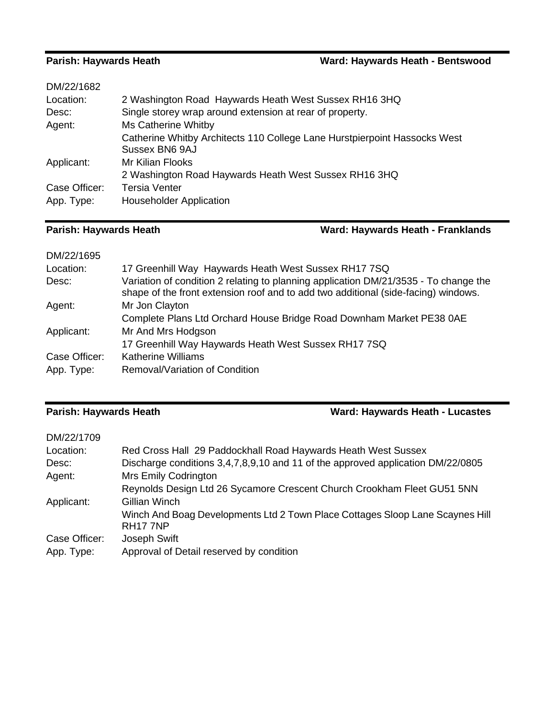## **Parish: Haywards Heath Ward: Haywards Heath - Bentswood**

| DM/22/1682    |                                                                                             |
|---------------|---------------------------------------------------------------------------------------------|
| Location:     | 2 Washington Road Haywards Heath West Sussex RH16 3HQ                                       |
| Desc:         | Single storey wrap around extension at rear of property.                                    |
| Agent:        | Ms Catherine Whitby                                                                         |
|               | Catherine Whitby Architects 110 College Lane Hurstpierpoint Hassocks West<br>Sussex BN6 9AJ |
| Applicant:    | Mr Kilian Flooks                                                                            |
|               | 2 Washington Road Haywards Heath West Sussex RH16 3HQ                                       |
| Case Officer: | <b>Tersia Venter</b>                                                                        |
| App. Type:    | <b>Householder Application</b>                                                              |

### **Parish: Haywards Heath Ward: Haywards Heath - Franklands**

| DM/22/1695    |                                                                                                                                                                            |
|---------------|----------------------------------------------------------------------------------------------------------------------------------------------------------------------------|
| Location:     | 17 Greenhill Way Haywards Heath West Sussex RH17 7SQ                                                                                                                       |
| Desc:         | Variation of condition 2 relating to planning application DM/21/3535 - To change the<br>shape of the front extension roof and to add two additional (side-facing) windows. |
| Agent:        | Mr Jon Clayton                                                                                                                                                             |
|               | Complete Plans Ltd Orchard House Bridge Road Downham Market PE38 0AE                                                                                                       |
| Applicant:    | Mr And Mrs Hodgson                                                                                                                                                         |
|               | 17 Greenhill Way Haywards Heath West Sussex RH17 7SQ                                                                                                                       |
| Case Officer: | <b>Katherine Williams</b>                                                                                                                                                  |
| App. Type:    | Removal/Variation of Condition                                                                                                                                             |

### **Parish: Haywards Heath Ward: Haywards Heath - Lucastes**

| DM/22/1709    |                                                                                                       |
|---------------|-------------------------------------------------------------------------------------------------------|
| Location:     | Red Cross Hall 29 Paddockhall Road Haywards Heath West Sussex                                         |
| Desc:         | Discharge conditions 3,4,7,8,9,10 and 11 of the approved application DM/22/0805                       |
| Agent:        | <b>Mrs Emily Codrington</b>                                                                           |
|               | Reynolds Design Ltd 26 Sycamore Crescent Church Crookham Fleet GU51 5NN                               |
| Applicant:    | Gillian Winch                                                                                         |
|               | Winch And Boag Developments Ltd 2 Town Place Cottages Sloop Lane Scaynes Hill<br>RH <sub>17</sub> 7NP |
| Case Officer: | Joseph Swift                                                                                          |
| App. Type:    | Approval of Detail reserved by condition                                                              |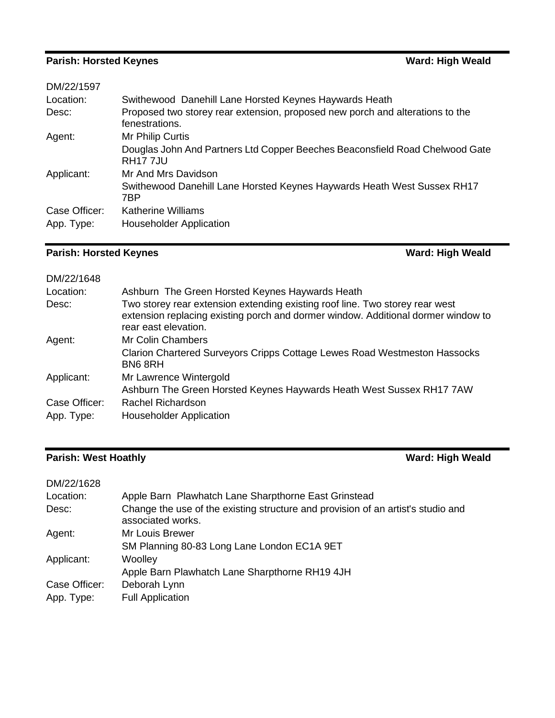# **Parish: Horsted Keynes Ward: High Weald**

| DM/22/1597    |                                                                                                 |
|---------------|-------------------------------------------------------------------------------------------------|
| Location:     | Swithewood Danehill Lane Horsted Keynes Haywards Heath                                          |
| Desc:         | Proposed two storey rear extension, proposed new porch and alterations to the<br>fenestrations. |
| Agent:        | Mr Philip Curtis                                                                                |
|               | Douglas John And Partners Ltd Copper Beeches Beaconsfield Road Chelwood Gate<br><b>RH177JU</b>  |
| Applicant:    | Mr And Mrs Davidson                                                                             |
|               | Swithewood Danehill Lane Horsted Keynes Haywards Heath West Sussex RH17<br>7BP                  |
| Case Officer: | <b>Katherine Williams</b>                                                                       |
| App. Type:    | <b>Householder Application</b>                                                                  |
|               |                                                                                                 |

# **Parish: Horsted Keynes Ward: High Weald**

| DM/22/1648                  |                                                                                                                                                                                           |
|-----------------------------|-------------------------------------------------------------------------------------------------------------------------------------------------------------------------------------------|
| Location:                   | Ashburn The Green Horsted Keynes Haywards Heath                                                                                                                                           |
| Desc:                       | Two storey rear extension extending existing roof line. Two storey rear west<br>extension replacing existing porch and dormer window. Additional dormer window to<br>rear east elevation. |
| Agent:                      | Mr Colin Chambers                                                                                                                                                                         |
|                             | Clarion Chartered Surveyors Cripps Cottage Lewes Road Westmeston Hassocks<br>BN68RH                                                                                                       |
| Applicant:                  | Mr Lawrence Wintergold                                                                                                                                                                    |
|                             | Ashburn The Green Horsted Keynes Haywards Heath West Sussex RH17 7AW                                                                                                                      |
| Case Officer:<br>App. Type: | Rachel Richardson<br><b>Householder Application</b>                                                                                                                                       |
|                             |                                                                                                                                                                                           |

# **Parish: West Hoathly Ward: High Weald**

| DM/22/1628    |                                                                                                       |
|---------------|-------------------------------------------------------------------------------------------------------|
| Location:     | Apple Barn Plawhatch Lane Sharpthorne East Grinstead                                                  |
| Desc:         | Change the use of the existing structure and provision of an artist's studio and<br>associated works. |
| Agent:        | Mr Louis Brewer                                                                                       |
|               | SM Planning 80-83 Long Lane London EC1A 9ET                                                           |
| Applicant:    | Woolley                                                                                               |
|               | Apple Barn Plawhatch Lane Sharpthorne RH19 4JH                                                        |
| Case Officer: | Deborah Lynn                                                                                          |
| App. Type:    | <b>Full Application</b>                                                                               |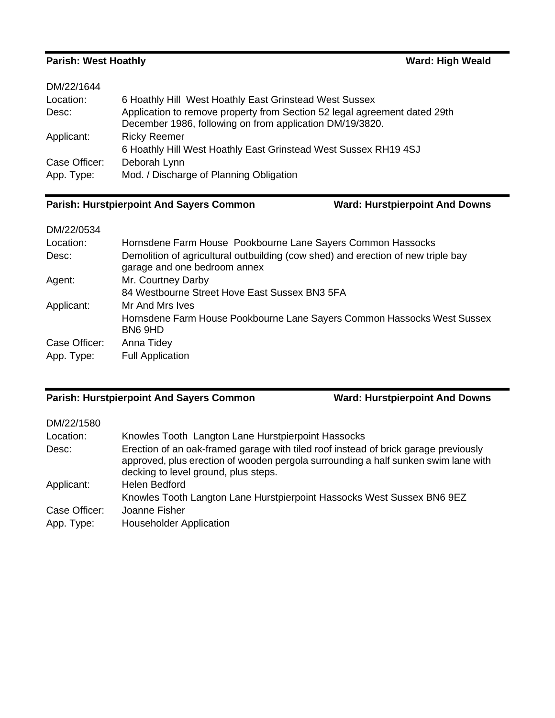## **Parish: West Hoathly Ward: High Weald**

| 6 Hoathly Hill West Hoathly East Grinstead West Sussex                                                                                |
|---------------------------------------------------------------------------------------------------------------------------------------|
| Application to remove property from Section 52 legal agreement dated 29th<br>December 1986, following on from application DM/19/3820. |
| <b>Ricky Reemer</b>                                                                                                                   |
| 6 Hoathly Hill West Hoathly East Grinstead West Sussex RH19 4SJ                                                                       |
| Deborah Lynn                                                                                                                          |
| Mod. / Discharge of Planning Obligation                                                                                               |
|                                                                                                                                       |

### **Parish: Hurstpierpoint And Sayers Common Ward: Hurstpierpoint And Downs**

## DM/22/0534

| Location:<br>Desc: | Hornsdene Farm House Pookbourne Lane Sayers Common Hassocks<br>Demolition of agricultural outbuilding (cow shed) and erection of new triple bay<br>garage and one bedroom annex |
|--------------------|---------------------------------------------------------------------------------------------------------------------------------------------------------------------------------|
| Agent:             | Mr. Courtney Darby                                                                                                                                                              |
|                    | 84 Westbourne Street Hove East Sussex BN3 5FA                                                                                                                                   |
| Applicant:         | Mr And Mrs Ives                                                                                                                                                                 |
|                    | Hornsdene Farm House Pookbourne Lane Sayers Common Hassocks West Sussex<br>BN6 9HD                                                                                              |
| Case Officer:      | Anna Tidey                                                                                                                                                                      |
| App. Type:         | <b>Full Application</b>                                                                                                                                                         |

# **Parish: Hurstpierpoint And Sayers Common Ward: Hurstpierpoint And Downs**

| DM/22/1580                  |                                                                                                                                                                                                                   |
|-----------------------------|-------------------------------------------------------------------------------------------------------------------------------------------------------------------------------------------------------------------|
| Location:                   | Knowles Tooth Langton Lane Hurstpierpoint Hassocks                                                                                                                                                                |
| Desc:                       | Erection of an oak-framed garage with tiled roof instead of brick garage previously<br>approved, plus erection of wooden pergola surrounding a half sunken swim lane with<br>decking to level ground, plus steps. |
| Applicant:                  | <b>Helen Bedford</b>                                                                                                                                                                                              |
|                             | Knowles Tooth Langton Lane Hurstpierpoint Hassocks West Sussex BN6 9EZ                                                                                                                                            |
| Case Officer:<br>App. Type: | Joanne Fisher<br><b>Householder Application</b>                                                                                                                                                                   |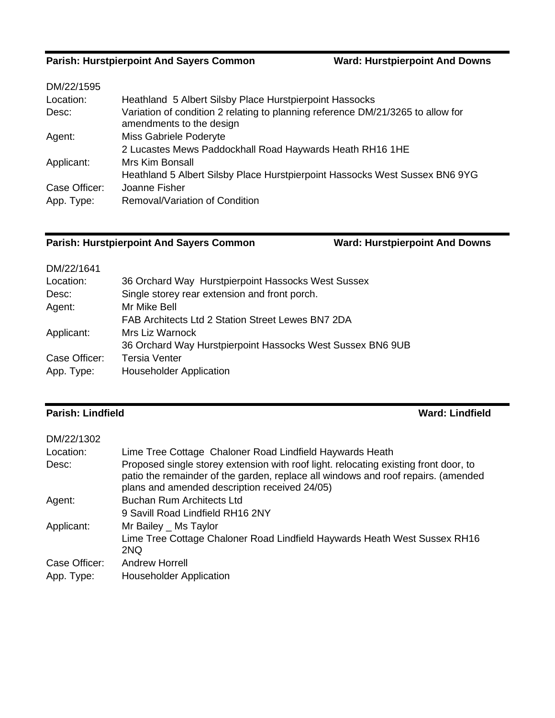### **Parish: Hurstpierpoint And Sayers Common Ward: Hurstpierpoint And Downs**

| DM/22/1595    |                                                                                                             |
|---------------|-------------------------------------------------------------------------------------------------------------|
| Location:     | Heathland 5 Albert Silsby Place Hurstpierpoint Hassocks                                                     |
| Desc:         | Variation of condition 2 relating to planning reference DM/21/3265 to allow for<br>amendments to the design |
| Agent:        | Miss Gabriele Poderyte                                                                                      |
|               | 2 Lucastes Mews Paddockhall Road Haywards Heath RH16 1HE                                                    |
| Applicant:    | <b>Mrs Kim Bonsall</b>                                                                                      |
|               | Heathland 5 Albert Silsby Place Hurstpierpoint Hassocks West Sussex BN6 9YG                                 |
| Case Officer: | Joanne Fisher                                                                                               |
| App. Type:    | Removal/Variation of Condition                                                                              |
|               |                                                                                                             |

# **Parish: Hurstpierpoint And Sayers Common Ward: Hurstpierpoint And Downs**

| DM/22/1641    |                                                            |
|---------------|------------------------------------------------------------|
| Location:     | 36 Orchard Way Hurstpierpoint Hassocks West Sussex         |
| Desc:         | Single storey rear extension and front porch.              |
| Agent:        | Mr Mike Bell                                               |
|               | FAB Architects Ltd 2 Station Street Lewes BN7 2DA          |
| Applicant:    | Mrs Liz Warnock                                            |
|               | 36 Orchard Way Hurstpierpoint Hassocks West Sussex BN6 9UB |
| Case Officer: | <b>Tersia Venter</b>                                       |
| App. Type:    | <b>Householder Application</b>                             |

### **Parish: Lindfield Ward: Lindfield**

| DM/22/1302    |                                                                                                                                                                                                                            |
|---------------|----------------------------------------------------------------------------------------------------------------------------------------------------------------------------------------------------------------------------|
| Location:     | Lime Tree Cottage Chaloner Road Lindfield Haywards Heath                                                                                                                                                                   |
| Desc:         | Proposed single storey extension with roof light. relocating existing front door, to<br>patio the remainder of the garden, replace all windows and roof repairs. (amended<br>plans and amended description received 24/05) |
| Agent:        | <b>Buchan Rum Architects Ltd</b>                                                                                                                                                                                           |
|               | 9 Savill Road Lindfield RH16 2NY                                                                                                                                                                                           |
| Applicant:    | Mr Bailey _ Ms Taylor                                                                                                                                                                                                      |
|               | Lime Tree Cottage Chaloner Road Lindfield Haywards Heath West Sussex RH16<br>2NQ                                                                                                                                           |
| Case Officer: | <b>Andrew Horrell</b>                                                                                                                                                                                                      |
| App. Type:    | <b>Householder Application</b>                                                                                                                                                                                             |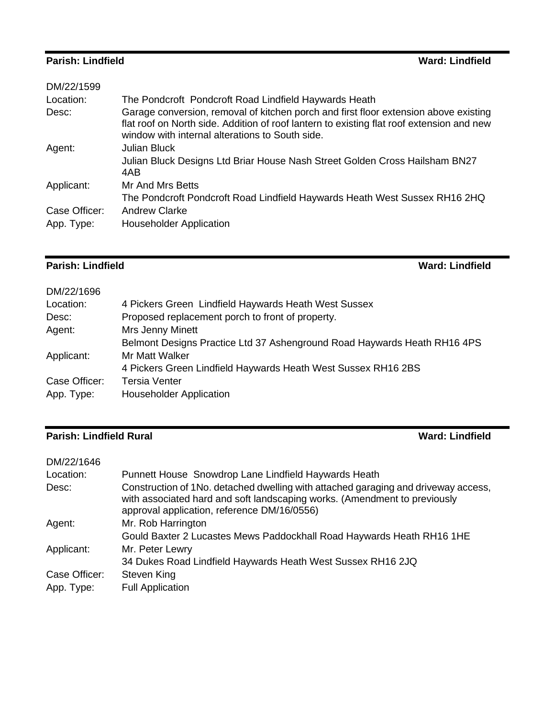### **Parish: Lindfield Ward: Lindfield**

| DM/22/1599    |                                                                                                                                                                                                                                      |
|---------------|--------------------------------------------------------------------------------------------------------------------------------------------------------------------------------------------------------------------------------------|
| Location:     | The Pondcroft Pondcroft Road Lindfield Haywards Heath                                                                                                                                                                                |
| Desc:         | Garage conversion, removal of kitchen porch and first floor extension above existing<br>flat roof on North side. Addition of roof lantern to existing flat roof extension and new<br>window with internal alterations to South side. |
| Agent:        | Julian Bluck                                                                                                                                                                                                                         |
|               | Julian Bluck Designs Ltd Briar House Nash Street Golden Cross Hailsham BN27<br>4AB                                                                                                                                                   |
| Applicant:    | Mr And Mrs Betts                                                                                                                                                                                                                     |
|               | The Pondcroft Pondcroft Road Lindfield Haywards Heath West Sussex RH16 2HQ                                                                                                                                                           |
| Case Officer: | <b>Andrew Clarke</b>                                                                                                                                                                                                                 |
| App. Type:    | <b>Householder Application</b>                                                                                                                                                                                                       |
|               |                                                                                                                                                                                                                                      |

### **Parish: Lindfield Ward: Lindfield**

۰

| DM/22/1696    |                                                                          |
|---------------|--------------------------------------------------------------------------|
| Location:     | 4 Pickers Green Lindfield Haywards Heath West Sussex                     |
| Desc:         | Proposed replacement porch to front of property.                         |
| Agent:        | Mrs Jenny Minett                                                         |
|               | Belmont Designs Practice Ltd 37 Ashenground Road Haywards Heath RH16 4PS |
| Applicant:    | Mr Matt Walker                                                           |
|               | 4 Pickers Green Lindfield Haywards Heath West Sussex RH16 2BS            |
| Case Officer: | <b>Tersia Venter</b>                                                     |
| App. Type:    | <b>Householder Application</b>                                           |

## **Parish: Lindfield Rural Parish: Lindfield Rural**

| DM/22/1646    |                                                                                                                                                                                                                |
|---------------|----------------------------------------------------------------------------------------------------------------------------------------------------------------------------------------------------------------|
| Location:     | Punnett House Snowdrop Lane Lindfield Haywards Heath                                                                                                                                                           |
| Desc:         | Construction of 1No. detached dwelling with attached garaging and driveway access,<br>with associated hard and soft landscaping works. (Amendment to previously<br>approval application, reference DM/16/0556) |
| Agent:        | Mr. Rob Harrington                                                                                                                                                                                             |
|               | Gould Baxter 2 Lucastes Mews Paddockhall Road Haywards Heath RH16 1HE                                                                                                                                          |
| Applicant:    | Mr. Peter Lewry                                                                                                                                                                                                |
|               | 34 Dukes Road Lindfield Haywards Heath West Sussex RH16 2JQ                                                                                                                                                    |
| Case Officer: | Steven King                                                                                                                                                                                                    |
| App. Type:    | <b>Full Application</b>                                                                                                                                                                                        |
|               |                                                                                                                                                                                                                |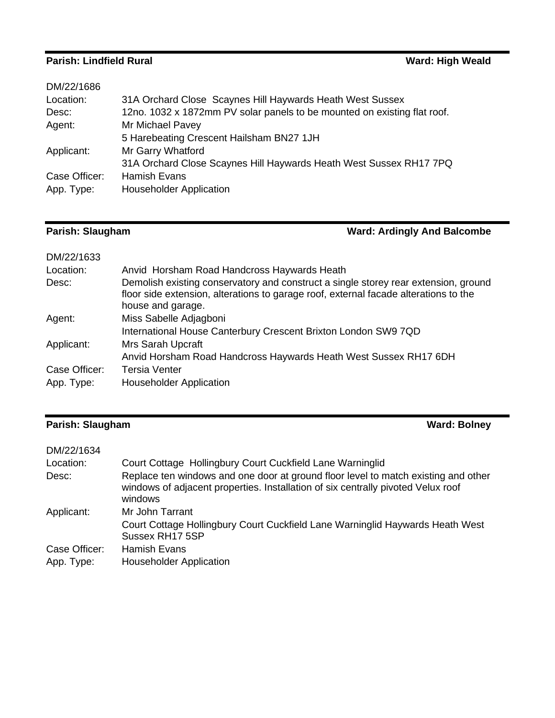### **Parish: Lindfield Rural Ward: High Weald Ward: High Weald**

| DM/22/1686    |                                                                          |
|---------------|--------------------------------------------------------------------------|
| Location:     | 31A Orchard Close Scaynes Hill Haywards Heath West Sussex                |
| Desc:         | 12no. 1032 x 1872mm PV solar panels to be mounted on existing flat roof. |
| Agent:        | Mr Michael Pavey                                                         |
|               | 5 Harebeating Crescent Hailsham BN27 1JH                                 |
| Applicant:    | Mr Garry Whatford                                                        |
|               | 31A Orchard Close Scaynes Hill Haywards Heath West Sussex RH17 7PQ       |
| Case Officer: | <b>Hamish Evans</b>                                                      |
| App. Type:    | <b>Householder Application</b>                                           |

# **Parish: Slaugham Ward: Ardingly And Balcombe**

| DM/22/1633    |                                                                                                                                                                                                  |
|---------------|--------------------------------------------------------------------------------------------------------------------------------------------------------------------------------------------------|
| Location:     | Anvid Horsham Road Handcross Haywards Heath                                                                                                                                                      |
| Desc:         | Demolish existing conservatory and construct a single storey rear extension, ground<br>floor side extension, alterations to garage roof, external facade alterations to the<br>house and garage. |
| Agent:        | Miss Sabelle Adjagboni                                                                                                                                                                           |
|               | International House Canterbury Crescent Brixton London SW9 7QD                                                                                                                                   |
| Applicant:    | <b>Mrs Sarah Upcraft</b>                                                                                                                                                                         |
|               | Anvid Horsham Road Handcross Haywards Heath West Sussex RH17 6DH                                                                                                                                 |
| Case Officer: | <b>Tersia Venter</b>                                                                                                                                                                             |
| App. Type:    | <b>Householder Application</b>                                                                                                                                                                   |
|               |                                                                                                                                                                                                  |

# **Parish: Slaugham Ward: Bolney**

| DM/22/1634    |                                                                                                                                                                                   |
|---------------|-----------------------------------------------------------------------------------------------------------------------------------------------------------------------------------|
| Location:     | Court Cottage Hollingbury Court Cuckfield Lane Warninglid                                                                                                                         |
| Desc:         | Replace ten windows and one door at ground floor level to match existing and other<br>windows of adjacent properties. Installation of six centrally pivoted Velux roof<br>windows |
| Applicant:    | Mr John Tarrant                                                                                                                                                                   |
|               | Court Cottage Hollingbury Court Cuckfield Lane Warninglid Haywards Heath West<br>Sussex RH17 5SP                                                                                  |
| Case Officer: | <b>Hamish Evans</b>                                                                                                                                                               |
| App. Type:    | <b>Householder Application</b>                                                                                                                                                    |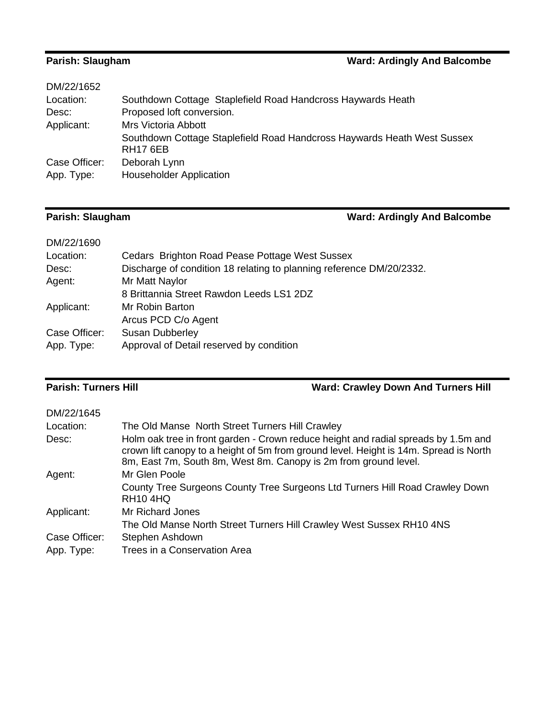### **Parish: Slaugham Parish: Slaugham Ward: Ardingly And Balcombe**

| DM/22/1652    |                                                                                            |
|---------------|--------------------------------------------------------------------------------------------|
| Location:     | Southdown Cottage Staplefield Road Handcross Haywards Heath                                |
| Desc:         | Proposed loft conversion.                                                                  |
| Applicant:    | <b>Mrs Victoria Abbott</b>                                                                 |
|               | Southdown Cottage Staplefield Road Handcross Haywards Heath West Sussex<br><b>RH17 6EB</b> |
| Case Officer: | Deborah Lynn                                                                               |
| App. Type:    | <b>Householder Application</b>                                                             |

# **Parish: Slaugham Ward: Ardingly And Balcombe**

| DM/22/1690    |                                                                      |
|---------------|----------------------------------------------------------------------|
| Location:     | Cedars Brighton Road Pease Pottage West Sussex                       |
| Desc:         | Discharge of condition 18 relating to planning reference DM/20/2332. |
| Agent:        | Mr Matt Naylor                                                       |
|               | 8 Brittannia Street Rawdon Leeds LS1 2DZ                             |
| Applicant:    | Mr Robin Barton                                                      |
|               | Arcus PCD C/o Agent                                                  |
| Case Officer: | <b>Susan Dubberley</b>                                               |
| App. Type:    | Approval of Detail reserved by condition                             |
|               |                                                                      |

# **Parish: Turners Hill Ward: Crawley Down And Turners Hill**

| DM/22/1645    |                                                                                                                                                                                                                                                |
|---------------|------------------------------------------------------------------------------------------------------------------------------------------------------------------------------------------------------------------------------------------------|
| Location:     | The Old Manse North Street Turners Hill Crawley                                                                                                                                                                                                |
| Desc:         | Holm oak tree in front garden - Crown reduce height and radial spreads by 1.5m and<br>crown lift canopy to a height of 5m from ground level. Height is 14m. Spread is North<br>8m, East 7m, South 8m, West 8m. Canopy is 2m from ground level. |
| Agent:        | Mr Glen Poole                                                                                                                                                                                                                                  |
|               | County Tree Surgeons County Tree Surgeons Ltd Turners Hill Road Crawley Down<br><b>RH10 4HQ</b>                                                                                                                                                |
| Applicant:    | Mr Richard Jones                                                                                                                                                                                                                               |
|               | The Old Manse North Street Turners Hill Crawley West Sussex RH10 4NS                                                                                                                                                                           |
| Case Officer: | Stephen Ashdown                                                                                                                                                                                                                                |
| App. Type:    | Trees in a Conservation Area                                                                                                                                                                                                                   |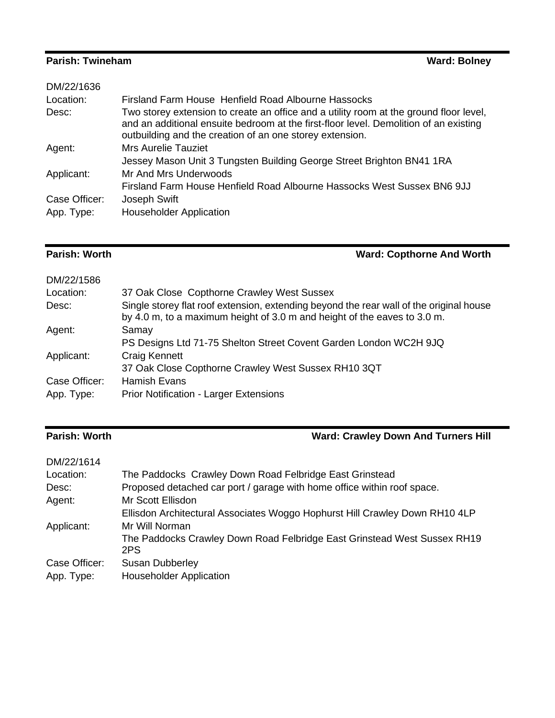### **Parish: Twineham Ward: Bolney Ward: Bolney**

| DM/22/1636    |                                                                                                                                                                                                                                             |
|---------------|---------------------------------------------------------------------------------------------------------------------------------------------------------------------------------------------------------------------------------------------|
| Location:     | Firsland Farm House Henfield Road Albourne Hassocks                                                                                                                                                                                         |
| Desc:         | Two storey extension to create an office and a utility room at the ground floor level,<br>and an additional ensuite bedroom at the first-floor level. Demolition of an existing<br>outbuilding and the creation of an one storey extension. |
| Agent:        | <b>Mrs Aurelie Tauziet</b>                                                                                                                                                                                                                  |
|               | Jessey Mason Unit 3 Tungsten Building George Street Brighton BN41 1RA                                                                                                                                                                       |
| Applicant:    | Mr And Mrs Underwoods                                                                                                                                                                                                                       |
|               | Firsland Farm House Henfield Road Albourne Hassocks West Sussex BN6 9JJ                                                                                                                                                                     |
| Case Officer: | Joseph Swift                                                                                                                                                                                                                                |
| App. Type:    | <b>Householder Application</b>                                                                                                                                                                                                              |
|               |                                                                                                                                                                                                                                             |

**Parish: Worth Ward: Copthorne And Worth** 

| DM/22/1586    |                                                                                                                                                                     |
|---------------|---------------------------------------------------------------------------------------------------------------------------------------------------------------------|
| Location:     | 37 Oak Close Copthorne Crawley West Sussex                                                                                                                          |
| Desc:         | Single storey flat roof extension, extending beyond the rear wall of the original house<br>by 4.0 m, to a maximum height of 3.0 m and height of the eaves to 3.0 m. |
| Agent:        | Samay                                                                                                                                                               |
|               | PS Designs Ltd 71-75 Shelton Street Covent Garden London WC2H 9JQ                                                                                                   |
| Applicant:    | <b>Craig Kennett</b>                                                                                                                                                |
|               | 37 Oak Close Copthorne Crawley West Sussex RH10 3QT                                                                                                                 |
| Case Officer: | <b>Hamish Evans</b>                                                                                                                                                 |
| App. Type:    | <b>Prior Notification - Larger Extensions</b>                                                                                                                       |

# **Parish: Worth <b>Ward: Crawley Down And Turners Hill**

| The Paddocks Crawley Down Road Felbridge East Grinstead                         |
|---------------------------------------------------------------------------------|
| Proposed detached car port / garage with home office within roof space.         |
| Mr Scott Ellisdon                                                               |
| Ellisdon Architectural Associates Woggo Hophurst Hill Crawley Down RH10 4LP     |
| Mr Will Norman                                                                  |
| The Paddocks Crawley Down Road Felbridge East Grinstead West Sussex RH19<br>2PS |
| <b>Susan Dubberley</b>                                                          |
| <b>Householder Application</b>                                                  |
|                                                                                 |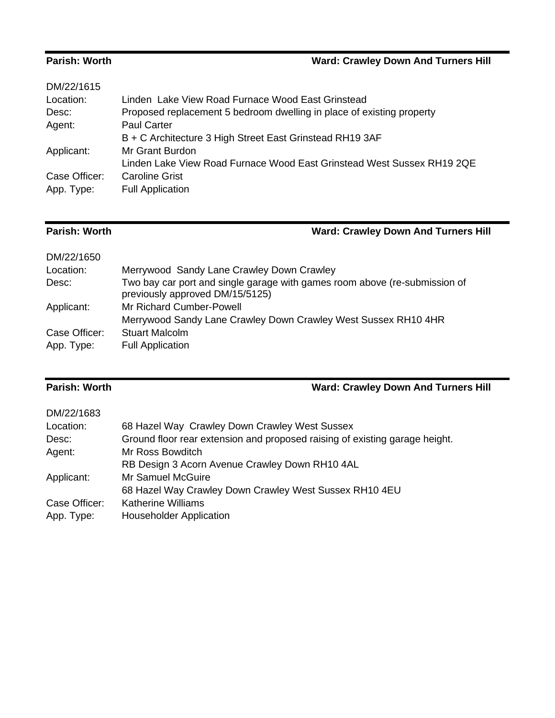## **Parish: Worth Ward: Crawley Down And Turners Hill**

| DM/22/1615    |                                                                        |
|---------------|------------------------------------------------------------------------|
| Location:     | Linden, Lake View Road Furnace Wood East Grinstead.                    |
| Desc:         | Proposed replacement 5 bedroom dwelling in place of existing property  |
| Agent:        | <b>Paul Carter</b>                                                     |
|               | B + C Architecture 3 High Street East Grinstead RH19 3AF               |
| Applicant:    | Mr Grant Burdon                                                        |
|               | Linden Lake View Road Furnace Wood East Grinstead West Sussex RH19 2QE |
| Case Officer: | <b>Caroline Grist</b>                                                  |
| App. Type:    | <b>Full Application</b>                                                |
|               |                                                                        |

# **Parish: Worth Ward: Crawley Down And Turners Hill**

| DM/22/1650    |                                                                                                               |
|---------------|---------------------------------------------------------------------------------------------------------------|
| Location:     | Merrywood Sandy Lane Crawley Down Crawley                                                                     |
| Desc:         | Two bay car port and single garage with games room above (re-submission of<br>previously approved DM/15/5125) |
| Applicant:    | Mr Richard Cumber-Powell                                                                                      |
|               | Merrywood Sandy Lane Crawley Down Crawley West Sussex RH10 4HR                                                |
| Case Officer: | <b>Stuart Malcolm</b>                                                                                         |
| App. Type:    | <b>Full Application</b>                                                                                       |

# **Parish: Worth Ward: Crawley Down And Turners Hill**

| DM/22/1683    |                                                                             |
|---------------|-----------------------------------------------------------------------------|
| Location:     | 68 Hazel Way Crawley Down Crawley West Sussex                               |
| Desc:         | Ground floor rear extension and proposed raising of existing garage height. |
| Agent:        | Mr Ross Bowditch                                                            |
|               | RB Design 3 Acorn Avenue Crawley Down RH10 4AL                              |
| Applicant:    | Mr Samuel McGuire                                                           |
|               | 68 Hazel Way Crawley Down Crawley West Sussex RH10 4EU                      |
| Case Officer: | <b>Katherine Williams</b>                                                   |
| App. Type:    | <b>Householder Application</b>                                              |